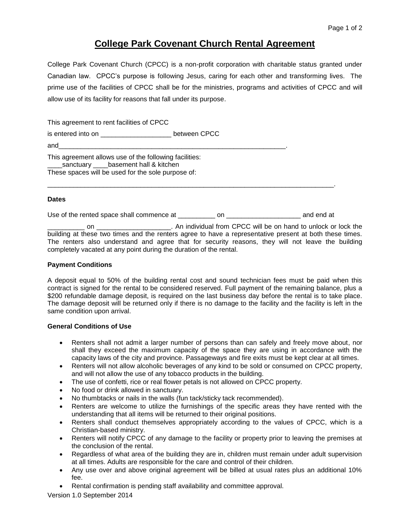# **College Park Covenant Church Rental Agreement**

College Park Covenant Church (CPCC) is a non-profit corporation with charitable status granted under Canadian law. CPCC's purpose is following Jesus, caring for each other and transforming lives. The prime use of the facilities of CPCC shall be for the ministries, programs and activities of CPCC and will allow use of its facility for reasons that fall under its purpose.

This agreement to rent facilities of CPCC

is entered into on  $\qquad \qquad$  between CPCC

and\_\_\_\_\_\_\_\_\_\_\_\_\_\_\_\_\_\_\_\_\_\_\_\_\_\_\_\_\_\_\_\_\_\_\_\_\_\_\_\_\_\_\_\_\_\_\_\_\_\_\_\_\_\_\_\_\_\_\_\_\_.

This agreement allows use of the following facilities: sanctuary basement hall & kitchen These spaces will be used for the sole purpose of:

# **Dates**

Use of the rented space shall commence at \_\_\_\_\_\_\_\_\_\_ on \_\_\_\_\_\_\_\_\_\_\_\_\_\_\_\_\_\_\_\_\_\_\_ and end at

\_\_\_\_\_\_\_\_\_\_\_\_\_\_\_\_\_\_\_\_\_\_\_\_\_\_\_\_\_\_\_\_\_\_\_\_\_\_\_\_\_\_\_\_\_\_\_\_\_\_\_\_\_\_\_\_\_\_\_\_\_\_\_\_\_\_\_\_\_\_\_\_\_\_\_\_\_.

on \_\_\_\_\_\_\_\_\_\_\_\_\_\_\_\_\_\_\_\_\_\_\_. An individual from CPCC will be on hand to unlock or lock the building at these two times and the renters agree to have a representative present at both these times. The renters also understand and agree that for security reasons, they will not leave the building completely vacated at any point during the duration of the rental.

## **Payment Conditions**

A deposit equal to 50% of the building rental cost and sound technician fees must be paid when this contract is signed for the rental to be considered reserved. Full payment of the remaining balance, plus a \$200 refundable damage deposit, is required on the last business day before the rental is to take place. The damage deposit will be returned only if there is no damage to the facility and the facility is left in the same condition upon arrival.

## **General Conditions of Use**

- Renters shall not admit a larger number of persons than can safely and freely move about, nor shall they exceed the maximum capacity of the space they are using in accordance with the capacity laws of the city and province. Passageways and fire exits must be kept clear at all times.
- Renters will not allow alcoholic beverages of any kind to be sold or consumed on CPCC property, and will not allow the use of any tobacco products in the building.
- The use of confetti, rice or real flower petals is not allowed on CPCC property.
- No food or drink allowed in sanctuary.
- No thumbtacks or nails in the walls (fun tack/sticky tack recommended).
- Renters are welcome to utilize the furnishings of the specific areas they have rented with the understanding that all items will be returned to their original positions.
- Renters shall conduct themselves appropriately according to the values of CPCC, which is a Christian-based ministry.
- Renters will notify CPCC of any damage to the facility or property prior to leaving the premises at the conclusion of the rental.
- Regardless of what area of the building they are in, children must remain under adult supervision at all times. Adults are responsible for the care and control of their children.
- Any use over and above original agreement will be billed at usual rates plus an additional 10% fee.
- Rental confirmation is pending staff availability and committee approval.

Version 1.0 September 2014